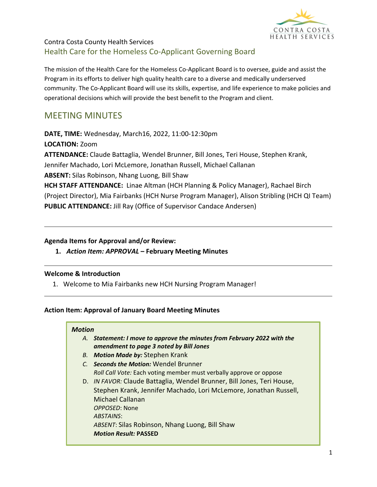

# Contra Costa County Health Services Health Care for the Homeless Co-Applicant Governing Board

The mission of the Health Care for the Homeless Co-Applicant Board is to oversee, guide and assist the Program in its efforts to deliver high quality health care to a diverse and medically underserved community. The Co-Applicant Board will use its skills, expertise, and life experience to make policies and operational decisions which will provide the best benefit to the Program and client.

# MEETING MINUTES

**DATE, TIME:** Wednesday, March16, 2022, 11:00-12:30pm

**LOCATION:** Zoom

**ATTENDANCE:** Claude Battaglia, Wendel Brunner, Bill Jones, Teri House, Stephen Krank,

Jennifer Machado, Lori McLemore, Jonathan Russell, Michael Callanan

**ABSENT:** Silas Robinson, Nhang Luong, Bill Shaw

**HCH STAFF ATTENDANCE:** Linae Altman (HCH Planning & Policy Manager), Rachael Birch (Project Director), Mia Fairbanks (HCH Nurse Program Manager), Alison Stribling (HCH QI Team) **PUBLIC ATTENDANCE:** Jill Ray (Office of Supervisor Candace Andersen)

### **Agenda Items for Approval and/or Review:**

**1.** *Action Item: APPROVAL* **– February Meeting Minutes**

## **Welcome & Introduction**

1. Welcome to Mia Fairbanks new HCH Nursing Program Manager!

## **Action Item: Approval of January Board Meeting Minutes**

#### *Motion*

- *A. Statement: I move to approve the minutes from February 2022 with the amendment to page 3 noted by Bill Jones*
- *B. Motion Made by:* Stephen Krank
- *C. Seconds the Motion:* Wendel Brunner *Roll Call Vote:* Each voting member must verbally approve or oppose
- D. *IN FAVOR:* Claude Battaglia, Wendel Brunner, Bill Jones, Teri House, Stephen Krank, Jennifer Machado, Lori McLemore, Jonathan Russell, Michael Callanan *OPPOSED*: None *ABSTAINS*: *ABSENT*: Silas Robinson, Nhang Luong, Bill Shaw *Motion Result:* **PASSED**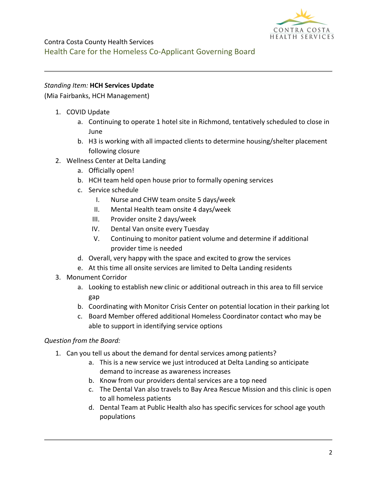

### *Standing Item:* **HCH Services Update**

(Mia Fairbanks, HCH Management)

- 1. COVID Update
	- a. Continuing to operate 1 hotel site in Richmond, tentatively scheduled to close in June
	- b. H3 is working with all impacted clients to determine housing/shelter placement following closure
- 2. Wellness Center at Delta Landing
	- a. Officially open!
	- b. HCH team held open house prior to formally opening services
	- c. Service schedule
		- I. Nurse and CHW team onsite 5 days/week
		- II. Mental Health team onsite 4 days/week
		- III. Provider onsite 2 days/week
		- IV. Dental Van onsite every Tuesday
		- V. Continuing to monitor patient volume and determine if additional provider time is needed
	- d. Overall, very happy with the space and excited to grow the services
	- e. At this time all onsite services are limited to Delta Landing residents
- 3. Monument Corridor
	- a. Looking to establish new clinic or additional outreach in this area to fill service gap
	- b. Coordinating with Monitor Crisis Center on potential location in their parking lot
	- c. Board Member offered additional Homeless Coordinator contact who may be able to support in identifying service options

#### *Question from the Board:*

- 1. Can you tell us about the demand for dental services among patients?
	- a. This is a new service we just introduced at Delta Landing so anticipate demand to increase as awareness increases
	- b. Know from our providers dental services are a top need
	- c. The Dental Van also travels to Bay Area Rescue Mission and this clinic is open to all homeless patients
	- d. Dental Team at Public Health also has specific services for school age youth populations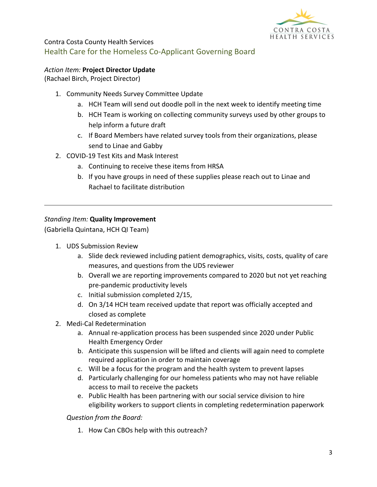

# Contra Costa County Health Services Health Care for the Homeless Co-Applicant Governing Board

# *Action Item:* **Project Director Update**

(Rachael Birch, Project Director)

- 1. Community Needs Survey Committee Update
	- a. HCH Team will send out doodle poll in the next week to identify meeting time
	- b. HCH Team is working on collecting community surveys used by other groups to help inform a future draft
	- c. If Board Members have related survey tools from their organizations, please send to Linae and Gabby
- 2. COVID-19 Test Kits and Mask Interest
	- a. Continuing to receive these items from HRSA
	- b. If you have groups in need of these supplies please reach out to Linae and Rachael to facilitate distribution

# *Standing Item:* **Quality Improvement**

(Gabriella Quintana, HCH QI Team)

- 1. UDS Submission Review
	- a. Slide deck reviewed including patient demographics, visits, costs, quality of care measures, and questions from the UDS reviewer
	- b. Overall we are reporting improvements compared to 2020 but not yet reaching pre-pandemic productivity levels
	- c. Initial submission completed 2/15,
	- d. On 3/14 HCH team received update that report was officially accepted and closed as complete
- 2. Medi-Cal Redetermination
	- a. Annual re-application process has been suspended since 2020 under Public Health Emergency Order
	- b. Anticipate this suspension will be lifted and clients will again need to complete required application in order to maintain coverage
	- c. Will be a focus for the program and the health system to prevent lapses
	- d. Particularly challenging for our homeless patients who may not have reliable access to mail to receive the packets
	- e. Public Health has been partnering with our social service division to hire eligibility workers to support clients in completing redetermination paperwork

*Question from the Board:*

1. How Can CBOs help with this outreach?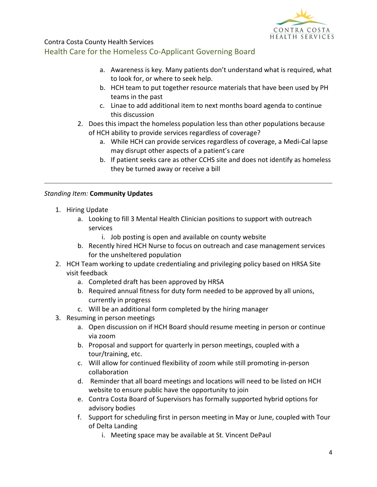

Contra Costa County Health Services

# Health Care for the Homeless Co-Applicant Governing Board

- a. Awareness is key. Many patients don't understand what is required, what to look for, or where to seek help.
- b. HCH team to put together resource materials that have been used by PH teams in the past
- c. Linae to add additional item to next months board agenda to continue this discussion
- 2. Does this impact the homeless population less than other populations because of HCH ability to provide services regardless of coverage?
	- a. While HCH can provide services regardless of coverage, a Medi-Cal lapse may disrupt other aspects of a patient's care
	- b. If patient seeks care as other CCHS site and does not identify as homeless they be turned away or receive a bill

### *Standing Item:* **Community Updates**

- 1. Hiring Update
	- a. Looking to fill 3 Mental Health Clinician positions to support with outreach services
		- i. Job posting is open and available on county website
	- b. Recently hired HCH Nurse to focus on outreach and case management services for the unsheltered population
- 2. HCH Team working to update credentialing and privileging policy based on HRSA Site visit feedback
	- a. Completed draft has been approved by HRSA
	- b. Required annual fitness for duty form needed to be approved by all unions, currently in progress
	- c. Will be an additional form completed by the hiring manager
- 3. Resuming in person meetings
	- a. Open discussion on if HCH Board should resume meeting in person or continue via zoom
	- b. Proposal and support for quarterly in person meetings, coupled with a tour/training, etc.
	- c. Will allow for continued flexibility of zoom while still promoting in-person collaboration
	- d. Reminder that all board meetings and locations will need to be listed on HCH website to ensure public have the opportunity to join
	- e. Contra Costa Board of Supervisors has formally supported hybrid options for advisory bodies
	- f. Support for scheduling first in person meeting in May or June, coupled with Tour of Delta Landing
		- i. Meeting space may be available at St. Vincent DePaul